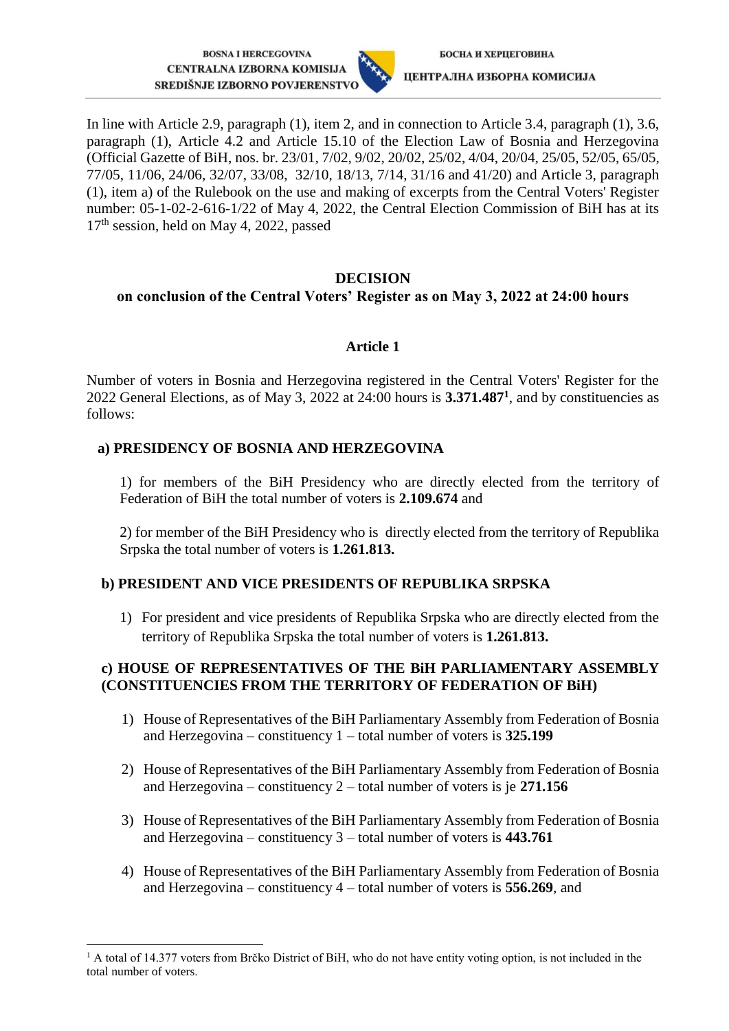**BOSNA I HERCEGOVINA CENTRALNA IZBORNA KOMISIJA** SREDIŠNJE IZBORNO POVJERENSTVO



In line with Article 2.9, paragraph (1), item 2, and in connection to Article 3.4, paragraph (1), 3.6, paragraph (1), Article 4.2 and Article 15.10 of the Election Law of Bosnia and Herzegovina (Official Gazette of BiH, nos. br. 23/01, 7/02, 9/02, 20/02, 25/02, 4/04, 20/04, 25/05, 52/05, 65/05, 77/05, 11/06, 24/06, 32/07, 33/08, 32/10, 18/13, 7/14, 31/16 and 41/20) and Article 3, paragraph (1), item a) of the Rulebook on the use and making of excerpts from the Central Voters' Register number: 05-1-02-2-616-1/22 of May 4, 2022, the Central Election Commission of BiH has at its 17<sup>th</sup> session, held on May 4, 2022, passed

### **DECISION**

# **on conclusion of the Central Voters' Register as on May 3, 2022 at 24:00 hours**

### **Article 1**

Number of voters in Bosnia and Herzegovina registered in the Central Voters' Register for the 2022 General Elections, as of May 3, 2022 at 24:00 hours is **3.371.487<sup>1</sup>** , and by constituencies as follows:

# **a) PRESIDENCY OF BOSNIA AND HERZEGOVINA**

-

 1) for members of the BiH Presidency who are directly elected from the territory of Federation of BiH the total number of voters is **2.109.674** and

 2) for member of the BiH Presidency who is directly elected from the territory of Republika Srpska the total number of voters is **1.261.813.**

## **b) PRESIDENT AND VICE PRESIDENTS OF REPUBLIKA SRPSKA**

1) For president and vice presidents of Republika Srpska who are directly elected from the territory of Republika Srpska the total number of voters is **1.261.813.**

## **c) HOUSE OF REPRESENTATIVES OF THE BiH PARLIAMENTARY ASSEMBLY (CONSTITUENCIES FROM THE TERRITORY OF FEDERATION OF BiH)**

- 1) House of Representatives of the BiH Parliamentary Assembly from Federation of Bosnia and Herzegovina – constituency 1 – total number of voters is **325.199**
- 2) House of Representatives of the BiH Parliamentary Assembly from Federation of Bosnia and Herzegovina – constituency 2 – total number of voters is je **271.156**
- 3) House of Representatives of the BiH Parliamentary Assembly from Federation of Bosnia and Herzegovina – constituency 3 – total number of voters is **443.761**
- 4) House of Representatives of the BiH Parliamentary Assembly from Federation of Bosnia and Herzegovina – constituency 4 – total number of voters is **556.269**, and

<sup>&</sup>lt;sup>1</sup> A total of 14.377 voters from Brčko District of BiH, who do not have entity voting option, is not included in the total number of voters.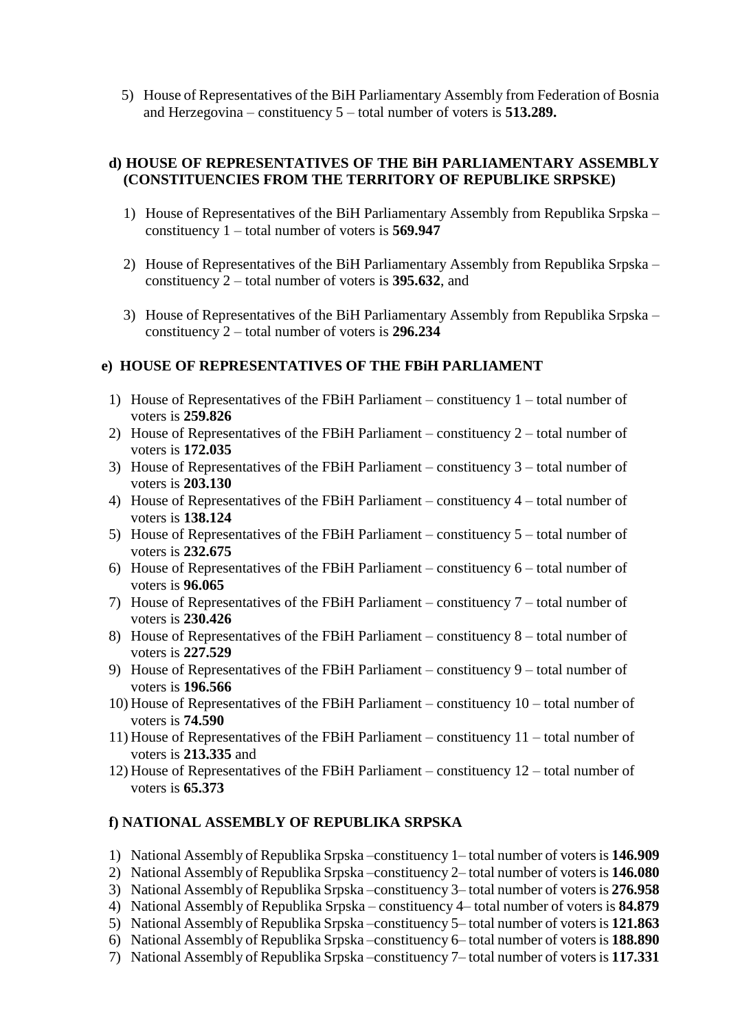5) House of Representatives of the BiH Parliamentary Assembly from Federation of Bosnia and Herzegovina – constituency 5 – total number of voters is **513.289.**

### **d) HOUSE OF REPRESENTATIVES OF THE BiH PARLIAMENTARY ASSEMBLY (CONSTITUENCIES FROM THE TERRITORY OF REPUBLIKE SRPSKE)**

- 1) House of Representatives of the BiH Parliamentary Assembly from Republika Srpska constituency 1 – total number of voters is **569.947**
- 2) House of Representatives of the BiH Parliamentary Assembly from Republika Srpska constituency 2 – total number of voters is **395.632**, and
- 3) House of Representatives of the BiH Parliamentary Assembly from Republika Srpska constituency 2 – total number of voters is **296.234**

### **e) HOUSE OF REPRESENTATIVES OF THE FBiH PARLIAMENT**

- 1) House of Representatives of the FBiH Parliament constituency 1 total number of voters is **259.826**
- 2) House of Representatives of the FBiH Parliament constituency 2 total number of voters is **172.035**
- 3) House of Representatives of the FBiH Parliament constituency 3 total number of voters is **203.130**
- 4) House of Representatives of the FBiH Parliament constituency 4 total number of voters is **138.124**
- 5) House of Representatives of the FBiH Parliament constituency 5 total number of voters is **232.675**
- 6) House of Representatives of the FBiH Parliament constituency 6 total number of voters is **96.065**
- 7) House of Representatives of the FBiH Parliament constituency 7 total number of voters is **230.426**
- 8) House of Representatives of the FBiH Parliament constituency 8 total number of voters is **227.529**
- 9) House of Representatives of the FBiH Parliament constituency 9 total number of voters is **196.566**
- 10) House of Representatives of the FBiH Parliament constituency 10 total number of voters is **74.590**
- 11) House of Representatives of the FBiH Parliament constituency 11 total number of voters is **213.335** and
- 12) House of Representatives of the FBiH Parliament constituency 12 total number of voters is **65.373**

#### **f) NATIONAL ASSEMBLY OF REPUBLIKA SRPSKA**

- 1) National Assembly of Republika Srpska –constituency 1– total number of voters is **146.909**
- 2) National Assembly of Republika Srpska –constituency 2– total number of voters is **146.080**
- 3) National Assembly of Republika Srpska –constituency 3– total number of voters is **276.958**
- 4) National Assembly of Republika Srpska constituency 4– total number of voters is **84.879**
- 5) National Assembly of Republika Srpska –constituency 5– total number of voters is **121.863**
- 6) National Assembly of Republika Srpska –constituency 6– total number of voters is **188.890**
- 7) National Assembly of Republika Srpska –constituency 7– total number of voters is **117.331**